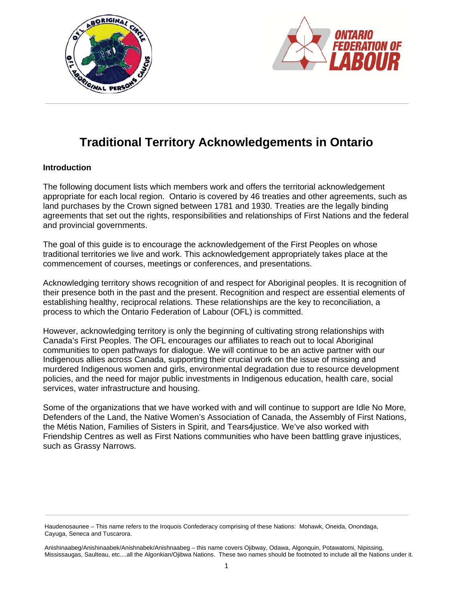



# **Traditional Territory Acknowledgements in Ontario**

# **Introduction**

The following document lists which members work and offers the territorial acknowledgement appropriate for each local region. Ontario is covered by 46 treaties and other agreements, such as land purchases by the Crown signed between 1781 and 1930. Treaties are the legally binding agreements that set out the rights, responsibilities and relationships of First Nations and the federal and provincial governments.

The goal of this guide is to encourage the acknowledgement of the First Peoples on whose traditional territories we live and work. This acknowledgement appropriately takes place at the commencement of courses, meetings or conferences, and presentations.

Acknowledging territory shows recognition of and respect for Aboriginal peoples. It is recognition of their presence both in the past and the present. Recognition and respect are essential elements of establishing healthy, reciprocal relations. These relationships are the key to reconciliation, a process to which the Ontario Federation of Labour (OFL) is committed.

However, acknowledging territory is only the beginning of cultivating strong relationships with Canada's First Peoples. The OFL encourages our affiliates to reach out to local Aboriginal communities to open pathways for dialogue. We will continue to be an active partner with our Indigenous allies across Canada, supporting their crucial work on the issue of missing and murdered Indigenous women and girls, environmental degradation due to resource development policies, and the need for major public investments in Indigenous education, health care, social services, water infrastructure and housing.

Some of the organizations that we have worked with and will continue to support are Idle No More*,* Defenders of the Land, the Native Women's Association of Canada, the Assembly of First Nations, the Métis Nation, Families of Sisters in Spirit, and Tears4justice. We've also worked with Friendship Centres as well as First Nations communities who have been battling grave injustices, such as Grassy Narrows.

Haudenosaunee – This name refers to the Iroquois Confederacy comprising of these Nations: Mohawk, Oneida, Onondaga, Cayuga, Seneca and Tuscarora.

Anishinaabeg/Anishinaabek/Anishnabek/Anishnaabeg – this name covers Ojibway, Odawa, Algonquin, Potawatomi, Nipissing, Mississaugas, Saulteau, etc....all the Algonkian/Ojibwa Nations. These two names should be footnoted to include all the Nations under it.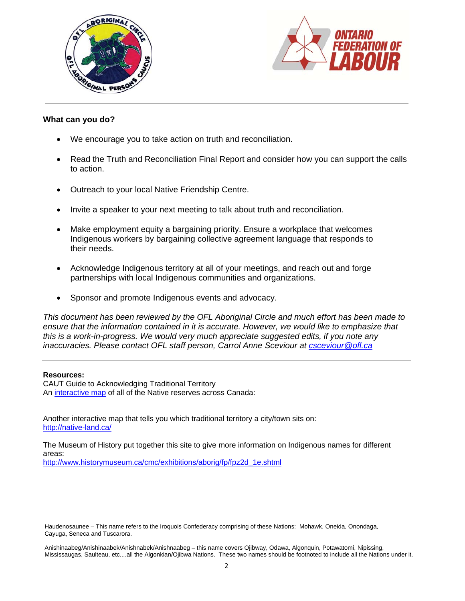



# **What can you do?**

- We encourage you to take action on truth and reconciliation.
- Read the Truth and Reconciliation Final Report and consider how you can support the calls to action.
- Outreach to your local Native Friendship Centre.
- Invite a speaker to your next meeting to talk about truth and reconciliation.
- Make employment equity a bargaining priority. Ensure a workplace that welcomes Indigenous workers by bargaining collective agreement language that responds to their needs.
- Acknowledge Indigenous territory at all of your meetings, and reach out and forge partnerships with local Indigenous communities and organizations.
- Sponsor and promote Indigenous events and advocacy.

*This document has been reviewed by the OFL Aboriginal Circle and much effort has been made to ensure that the information contained in it is accurate. However, we would like to emphasize that this is a work-in-progress. We would very much appreciate suggested edits, if you note any inaccuracies. Please contact OFL staff person, Carrol Anne Sceviour at csceviour@ofl.ca* 

#### **Resources:**

CAUT Guide to Acknowledging Traditional Territory An interactive map of all of the Native reserves across Canada:

Another interactive map that tells you which traditional territory a city/town sits on: http://native-land.ca/

The Museum of History put together this site to give more information on Indigenous names for different areas:

http://www.historymuseum.ca/cmc/exhibitions/aborig/fp/fpz2d\_1e.shtml

Anishinaabeg/Anishinaabek/Anishnabek/Anishnaabeg – this name covers Ojibway, Odawa, Algonquin, Potawatomi, Nipissing, Mississaugas, Saulteau, etc....all the Algonkian/Ojibwa Nations. These two names should be footnoted to include all the Nations under it.

Haudenosaunee – This name refers to the Iroquois Confederacy comprising of these Nations: Mohawk, Oneida, Onondaga, Cayuga, Seneca and Tuscarora.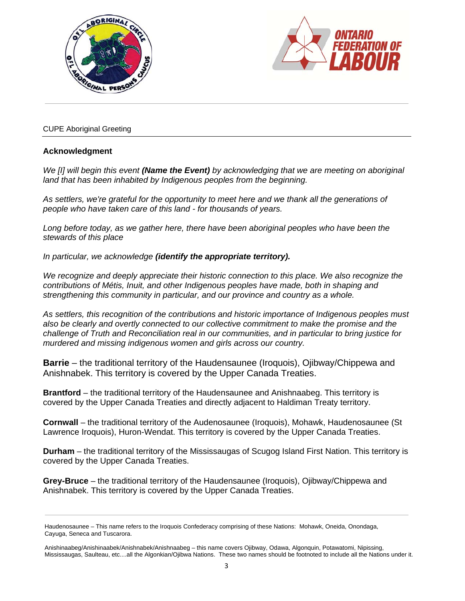



# CUPE Aboriginal Greeting

# **Acknowledgment**

*We [I] will begin this event (Name the Event) by acknowledging that we are meeting on aboriginal land that has been inhabited by Indigenous peoples from the beginning.* 

*As settlers, we're grateful for the opportunity to meet here and we thank all the generations of people who have taken care of this land - for thousands of years.* 

Long before today, as we gather here, there have been aboriginal peoples who have been the *stewards of this place* 

*In particular, we acknowledge (identify the appropriate territory).* 

*We recognize and deeply appreciate their historic connection to this place. We also recognize the contributions of Métis, Inuit, and other Indigenous peoples have made, both in shaping and strengthening this community in particular, and our province and country as a whole.* 

*As settlers, this recognition of the contributions and historic importance of Indigenous peoples must also be clearly and overtly connected to our collective commitment to make the promise and the challenge of Truth and Reconciliation real in our communities, and in particular to bring justice for murdered and missing indigenous women and girls across our country.* 

**Barrie** – the traditional territory of the Haudensaunee (Iroquois), Ojibway/Chippewa and Anishnabek. This territory is covered by the Upper Canada Treaties.

**Brantford** – the traditional territory of the Haudensaunee and Anishnaabeg. This territory is covered by the Upper Canada Treaties and directly adjacent to Haldiman Treaty territory.

**Cornwall** – the traditional territory of the Audenosaunee (Iroquois), Mohawk, Haudenosaunee (St Lawrence Iroquois), Huron-Wendat. This territory is covered by the Upper Canada Treaties.

**Durham** – the traditional territory of the Mississaugas of Scugog Island First Nation. This territory is covered by the Upper Canada Treaties.

**Grey-Bruce** – the traditional territory of the Haudensaunee (Iroquois), Ojibway/Chippewa and Anishnabek. This territory is covered by the Upper Canada Treaties.

Haudenosaunee – This name refers to the Iroquois Confederacy comprising of these Nations: Mohawk, Oneida, Onondaga, Cayuga, Seneca and Tuscarora.

Anishinaabeg/Anishinaabek/Anishnabek/Anishnaabeg – this name covers Ojibway, Odawa, Algonquin, Potawatomi, Nipissing, Mississaugas, Saulteau, etc....all the Algonkian/Ojibwa Nations. These two names should be footnoted to include all the Nations under it.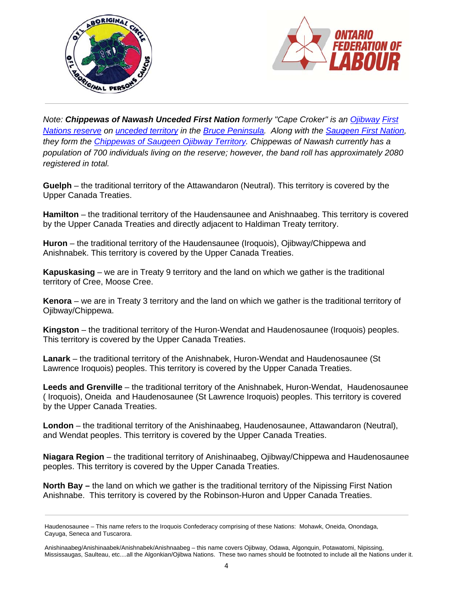



*Note: Chippewas of Nawash Unceded First Nation formerly "Cape Croker" is an Ojibway First Nations reserve on unceded territory in the Bruce Peninsula. Along with the Saugeen First Nation, they form the Chippewas of Saugeen Ojibway Territory. Chippewas of Nawash currently has a population of 700 individuals living on the reserve; however, the band roll has approximately 2080 registered in total.* 

**Guelph** – the traditional territory of the Attawandaron (Neutral). This territory is covered by the Upper Canada Treaties.

**Hamilton** – the traditional territory of the Haudensaunee and Anishnaabeg. This territory is covered by the Upper Canada Treaties and directly adjacent to Haldiman Treaty territory.

**Huron** – the traditional territory of the Haudensaunee (Iroquois), Ojibway/Chippewa and Anishnabek. This territory is covered by the Upper Canada Treaties.

**Kapuskasing** – we are in Treaty 9 territory and the land on which we gather is the traditional territory of Cree, Moose Cree.

**Kenora** – we are in Treaty 3 territory and the land on which we gather is the traditional territory of Ojibway/Chippewa.

**Kingston** – the traditional territory of the Huron-Wendat and Haudenosaunee (Iroquois) peoples. This territory is covered by the Upper Canada Treaties.

**Lanark** – the traditional territory of the Anishnabek, Huron-Wendat and Haudenosaunee (St Lawrence Iroquois) peoples. This territory is covered by the Upper Canada Treaties.

**Leeds and Grenville** – the traditional territory of the Anishnabek, Huron-Wendat, Haudenosaunee ( Iroquois), Oneida and Haudenosaunee (St Lawrence Iroquois) peoples. This territory is covered by the Upper Canada Treaties.

**London** – the traditional territory of the Anishinaabeg, Haudenosaunee, Attawandaron (Neutral), and Wendat peoples. This territory is covered by the Upper Canada Treaties.

**Niagara Region** – the traditional territory of Anishinaabeg, Ojibway/Chippewa and Haudenosaunee peoples. This territory is covered by the Upper Canada Treaties.

**North Bay –** the land on which we gather is the traditional territory of the Nipissing First Nation Anishnabe. This territory is covered by the Robinson-Huron and Upper Canada Treaties.

Haudenosaunee – This name refers to the Iroquois Confederacy comprising of these Nations: Mohawk, Oneida, Onondaga, Cayuga, Seneca and Tuscarora.

Anishinaabeg/Anishinaabek/Anishnabek/Anishnaabeg – this name covers Ojibway, Odawa, Algonquin, Potawatomi, Nipissing, Mississaugas, Saulteau, etc....all the Algonkian/Ojibwa Nations. These two names should be footnoted to include all the Nations under it.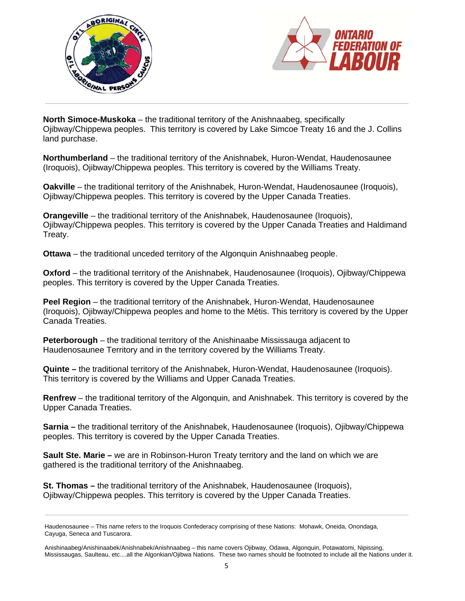



**North Simoce-Muskoka** – the traditional territory of the Anishnaabeg, specifically Ojibway/Chippewa peoples. This territory is covered by Lake Simcoe Treaty 16 and the J. Collins land purchase.

**Northumberland** – the traditional territory of the Anishnabek, Huron-Wendat, Haudenosaunee (Iroquois), Ojibway/Chippewa peoples. This territory is covered by the Williams Treaty.

**Oakville** – the traditional territory of the Anishnabek, Huron-Wendat, Haudenosaunee (Iroquois), Ojibway/Chippewa peoples. This territory is covered by the Upper Canada Treaties.

**Orangeville** – the traditional territory of the Anishnabek, Haudenosaunee (Iroquois), Ojibway/Chippewa peoples. This territory is covered by the Upper Canada Treaties and Haldimand Treaty.

**Ottawa** – the traditional unceded territory of the Algonquin Anishnaabeg people.

**Oxford** – the traditional territory of the Anishnabek, Haudenosaunee (Iroquois), Ojibway/Chippewa peoples. This territory is covered by the Upper Canada Treaties.

**Peel Region** – the traditional territory of the Anishnabek, Huron-Wendat, Haudenosaunee (Iroquois), Ojibway/Chippewa peoples and home to the Métis. This territory is covered by the Upper Canada Treaties.

**Peterborough** – the traditional territory of the Anishinaabe Mississauga adjacent to Haudenosaunee Territory and in the territory covered by the Williams Treaty.

**Quinte –** the traditional territory of the Anishnabek, Huron-Wendat, Haudenosaunee (Iroquois). This territory is covered by the Williams and Upper Canada Treaties.

**Renfrew** – the traditional territory of the Algonquin, and Anishnabek. This territory is covered by the Upper Canada Treaties.

**Sarnia –** the traditional territory of the Anishnabek, Haudenosaunee (Iroquois), Ojibway/Chippewa peoples. This territory is covered by the Upper Canada Treaties.

**Sault Ste. Marie** – we are in Robinson-Huron Treaty territory and the land on which we are gathered is the traditional territory of the Anishnaabeg.

**St. Thomas –** the traditional territory of the Anishnabek, Haudenosaunee (Iroquois), Ojibway/Chippewa peoples. This territory is covered by the Upper Canada Treaties.

Anishinaabeg/Anishinaabek/Anishnabek/Anishnaabeg – this name covers Ojibway, Odawa, Algonquin, Potawatomi, Nipissing, Mississaugas, Saulteau, etc....all the Algonkian/Ojibwa Nations. These two names should be footnoted to include all the Nations under it.

Haudenosaunee – This name refers to the Iroquois Confederacy comprising of these Nations: Mohawk, Oneida, Onondaga, Cayuga, Seneca and Tuscarora.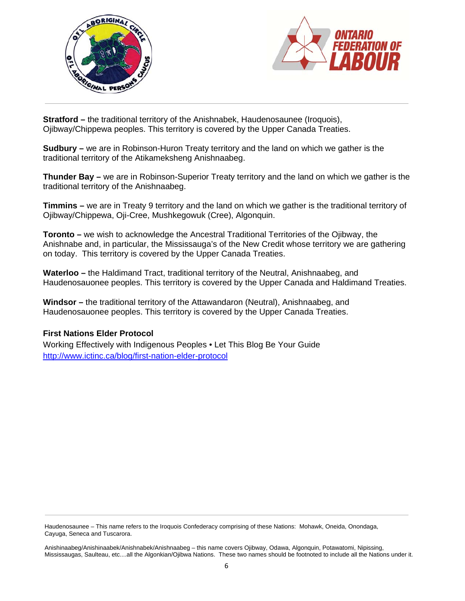



**Stratford –** the traditional territory of the Anishnabek, Haudenosaunee (Iroquois), Ojibway/Chippewa peoples. This territory is covered by the Upper Canada Treaties.

**Sudbury –** we are in Robinson-Huron Treaty territory and the land on which we gather is the traditional territory of the Atikameksheng Anishnaabeg.

**Thunder Bay –** we are in Robinson-Superior Treaty territory and the land on which we gather is the traditional territory of the Anishnaabeg.

**Timmins –** we are in Treaty 9 territory and the land on which we gather is the traditional territory of Ojibway/Chippewa, Oji-Cree, Mushkegowuk (Cree), Algonquin.

**Toronto –** we wish to acknowledge the Ancestral Traditional Territories of the Ojibway, the Anishnabe and, in particular, the Mississauga's of the New Credit whose territory we are gathering on today. This territory is covered by the Upper Canada Treaties.

**Waterloo –** the Haldimand Tract, traditional territory of the Neutral, Anishnaabeg, and Haudenosauonee peoples. This territory is covered by the Upper Canada and Haldimand Treaties.

**Windsor –** the traditional territory of the Attawandaron (Neutral), Anishnaabeg, and Haudenosauonee peoples. This territory is covered by the Upper Canada Treaties.

# **First Nations Elder Protocol**

Working Effectively with Indigenous Peoples • Let This Blog Be Your Guide http://www.ictinc.ca/blog/first-nation-elder-protocol

Haudenosaunee – This name refers to the Iroquois Confederacy comprising of these Nations: Mohawk, Oneida, Onondaga, Cayuga, Seneca and Tuscarora.

Anishinaabeg/Anishinaabek/Anishnabek/Anishnaabeg – this name covers Ojibway, Odawa, Algonquin, Potawatomi, Nipissing, Mississaugas, Saulteau, etc....all the Algonkian/Ojibwa Nations. These two names should be footnoted to include all the Nations under it.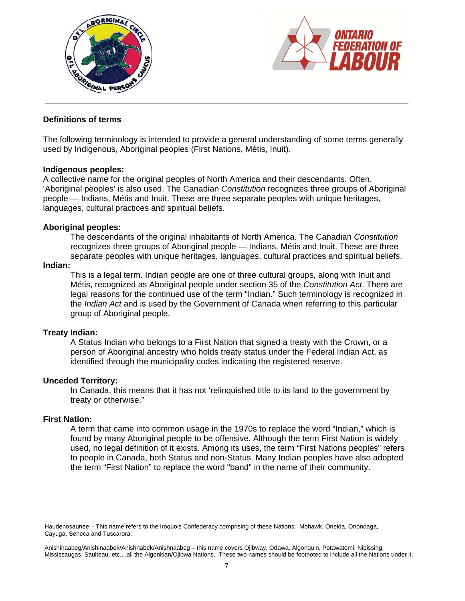



# **Definitions of terms**

The following terminology is intended to provide a general understanding of some terms generally used by Indigenous, Aboriginal peoples (First Nations, Métis, Inuit).

## **Indigenous peoples:**

A collective name for the original peoples of North America and their descendants. Often, 'Aboriginal peoples' is also used. The Canadian *Constitution* recognizes three groups of Aboriginal people — Indians, Métis and Inuit. These are three separate peoples with unique heritages, languages, cultural practices and spiritual beliefs.

## **Aboriginal peoples:**

The descendants of the original inhabitants of North America. The Canadian *Constitution* recognizes three groups of Aboriginal people — Indians, Métis and Inuit. These are three separate peoples with unique heritages, languages, cultural practices and spiritual beliefs.

#### **Indian:**

This is a legal term. Indian people are one of three cultural groups, along with Inuit and Métis, recognized as Aboriginal people under section 35 of the *Constitution Act*. There are legal reasons for the continued use of the term "Indian." Such terminology is recognized in the *Indian Act* and is used by the Government of Canada when referring to this particular group of Aboriginal people.

#### **Treaty Indian:**

A Status Indian who belongs to a First Nation that signed a treaty with the Crown, or a person of Aboriginal ancestry who holds treaty status under the Federal Indian Act, as identified through the municipality codes indicating the registered reserve.

#### **Unceded Territory:**

In Canada, this means that it has not 'relinquished title to its land to the government by treaty or otherwise."

#### **First Nation:**

A term that came into common usage in the 1970s to replace the word "Indian," which is found by many Aboriginal people to be offensive. Although the term First Nation is widely used, no legal definition of it exists. Among its uses, the term "First Nations peoples" refers to people in Canada, both Status and non-Status. Many Indian peoples have also adopted the term "First Nation" to replace the word "band" in the name of their community.

Haudenosaunee – This name refers to the Iroquois Confederacy comprising of these Nations: Mohawk, Oneida, Onondaga, Cayuga, Seneca and Tuscarora.

Anishinaabeg/Anishinaabek/Anishnabek/Anishnaabeg – this name covers Ojibway, Odawa, Algonquin, Potawatomi, Nipissing, Mississaugas, Saulteau, etc....all the Algonkian/Ojibwa Nations. These two names should be footnoted to include all the Nations under it.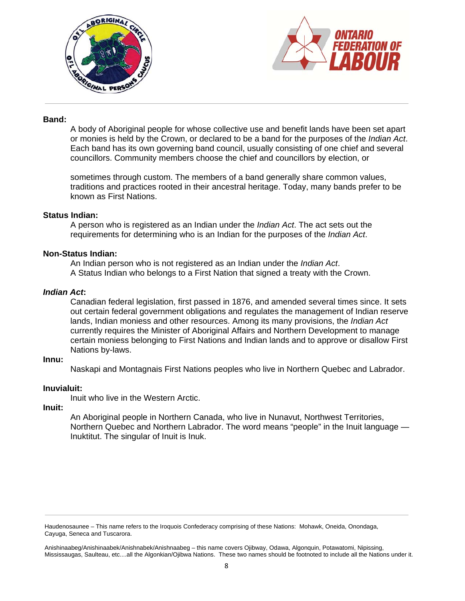



# **Band:**

A body of Aboriginal people for whose collective use and benefit lands have been set apart or monies is held by the Crown, or declared to be a band for the purposes of the *Indian Act*. Each band has its own governing band council, usually consisting of one chief and several councillors. Community members choose the chief and councillors by election, or

sometimes through custom. The members of a band generally share common values, traditions and practices rooted in their ancestral heritage. Today, many bands prefer to be known as First Nations.

## **Status Indian:**

A person who is registered as an Indian under the *Indian Act*. The act sets out the requirements for determining who is an Indian for the purposes of the *Indian Act*.

## **Non-Status Indian:**

An Indian person who is not registered as an Indian under the *Indian Act*. A Status Indian who belongs to a First Nation that signed a treaty with the Crown.

## *Indian Act***:**

Canadian federal legislation, first passed in 1876, and amended several times since. It sets out certain federal government obligations and regulates the management of Indian reserve lands, Indian moniess and other resources. Among its many provisions, the *Indian Act* currently requires the Minister of Aboriginal Affairs and Northern Development to manage certain moniess belonging to First Nations and Indian lands and to approve or disallow First Nations by-laws.

# **Innu:**

Naskapi and Montagnais First Nations peoples who live in Northern Quebec and Labrador.

# **Inuvialuit:**

Inuit who live in the Western Arctic.

#### **Inuit:**

An Aboriginal people in Northern Canada, who live in Nunavut, Northwest Territories, Northern Quebec and Northern Labrador. The word means "people" in the Inuit language — Inuktitut. The singular of Inuit is Inuk.

Haudenosaunee – This name refers to the Iroquois Confederacy comprising of these Nations: Mohawk, Oneida, Onondaga, Cayuga, Seneca and Tuscarora.

Anishinaabeg/Anishinaabek/Anishnabek/Anishnaabeg – this name covers Ojibway, Odawa, Algonquin, Potawatomi, Nipissing, Mississaugas, Saulteau, etc....all the Algonkian/Ojibwa Nations. These two names should be footnoted to include all the Nations under it.